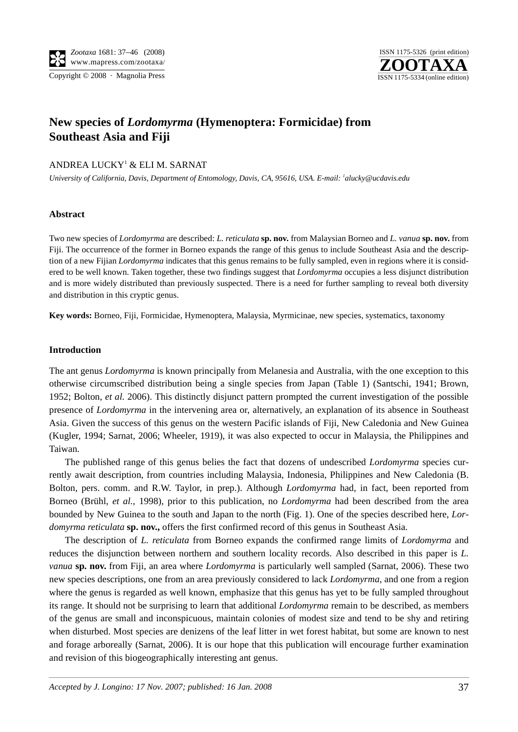

# **New species of** *Lordomyrma* **(Hymenoptera: Formicidae) from Southeast Asia and Fiji**

# ANDREA LUCKY1 & ELI M. SARNAT

*University of California, Davis, Department of Entomology, Davis, CA, 95616, USA. E-mail: 1 alucky@ucdavis.edu*

## **Abstract**

Two new species of *Lordomyrma* are described: *L. reticulata* **sp. nov.** from Malaysian Borneo and *L. vanua* **sp. nov.** from Fiji. The occurrence of the former in Borneo expands the range of this genus to include Southeast Asia and the description of a new Fijian *Lordomyrma* indicates that this genus remains to be fully sampled, even in regions where it is considered to be well known. Taken together, these two findings suggest that *Lordomyrma* occupies a less disjunct distribution and is more widely distributed than previously suspected. There is a need for further sampling to reveal both diversity and distribution in this cryptic genus.

**Key words:** Borneo, Fiji, Formicidae, Hymenoptera, Malaysia, Myrmicinae, new species, systematics, taxonomy

## **Introduction**

The ant genus *Lordomyrma* is known principally from Melanesia and Australia, with the one exception to this otherwise circumscribed distribution being a single species from Japan (Table 1) (Santschi, 1941; Brown, 1952; Bolton, *et al.* 2006). This distinctly disjunct pattern prompted the current investigation of the possible presence of *Lordomyrma* in the intervening area or, alternatively, an explanation of its absence in Southeast Asia. Given the success of this genus on the western Pacific islands of Fiji, New Caledonia and New Guinea (Kugler, 1994; Sarnat, 2006; Wheeler, 1919), it was also expected to occur in Malaysia, the Philippines and Taiwan.

The published range of this genus belies the fact that dozens of undescribed *Lordomyrma* species currently await description, from countries including Malaysia, Indonesia, Philippines and New Caledonia (B. Bolton, pers. comm. and R.W. Taylor, in prep.). Although *Lordomyrma* had, in fact, been reported from Borneo (Brühl, *et al.*, 1998), prior to this publication, no *Lordomyrma* had been described from the area bounded by New Guinea to the south and Japan to the north (Fig. 1). One of the species described here, *Lordomyrma reticulata* **sp. nov.,** offers the first confirmed record of this genus in Southeast Asia.

The description of *L. reticulata* from Borneo expands the confirmed range limits of *Lordomyrma* and reduces the disjunction between northern and southern locality records. Also described in this paper is *L. vanua* **sp. nov.** from Fiji, an area where *Lordomyrma* is particularly well sampled (Sarnat, 2006). These two new species descriptions, one from an area previously considered to lack *Lordomyrma*, and one from a region where the genus is regarded as well known, emphasize that this genus has yet to be fully sampled throughout its range. It should not be surprising to learn that additional *Lordomyrma* remain to be described, as members of the genus are small and inconspicuous, maintain colonies of modest size and tend to be shy and retiring when disturbed. Most species are denizens of the leaf litter in wet forest habitat, but some are known to nest and forage arboreally (Sarnat, 2006). It is our hope that this publication will encourage further examination and revision of this biogeographically interesting ant genus.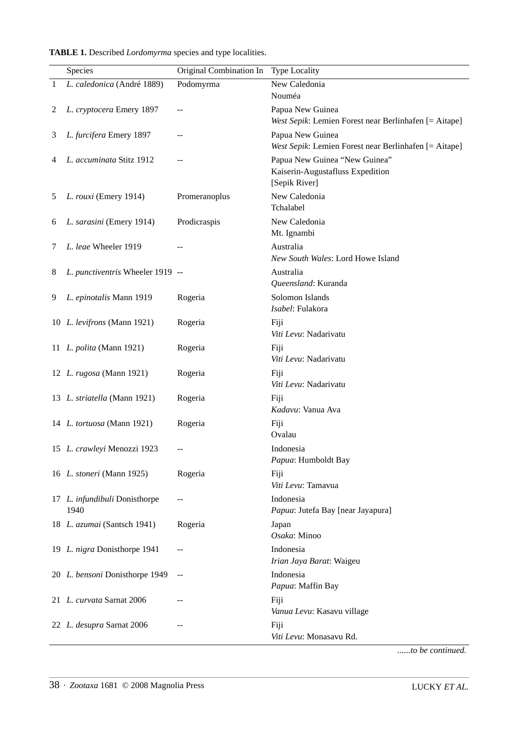| TABLE 1. Described Lordomyrma species and type localities. |  |  |
|------------------------------------------------------------|--|--|
|------------------------------------------------------------|--|--|

|   | Species                               | Original Combination In | <b>Type Locality</b>                                                               |
|---|---------------------------------------|-------------------------|------------------------------------------------------------------------------------|
| 1 | L. caledonica (André 1889)            | Podomyrma               | New Caledonia<br>Nouméa                                                            |
| 2 | L. cryptocera Emery 1897              |                         | Papua New Guinea<br>West Sepik: Lemien Forest near Berlinhafen [= Aitape]          |
| 3 | L. furcifera Emery 1897               |                         | Papua New Guinea<br>West Sepik: Lemien Forest near Berlinhafen [= Aitape]          |
| 4 | L. accuminata Stitz 1912              |                         | Papua New Guinea "New Guinea"<br>Kaiserin-Augustafluss Expedition<br>[Sepik River] |
| 5 | L. rouxi (Emery 1914)                 | Promeranoplus           | New Caledonia<br>Tchalabel                                                         |
| 6 | L. sarasini (Emery 1914)              | Prodicraspis            | New Caledonia<br>Mt. Ignambi                                                       |
| 7 | L. leae Wheeler 1919                  |                         | Australia<br>New South Wales: Lord Howe Island                                     |
| 8 | L. punctiventris Wheeler 1919 --      |                         | Australia<br>Queensland: Kuranda                                                   |
| 9 | L. epinotalis Mann 1919               | Rogeria                 | Solomon Islands<br>Isabel: Fulakora                                                |
|   | 10 L. levifrons (Mann 1921)           | Rogeria                 | Fiji<br>Viti Levu: Nadarivatu                                                      |
|   | 11 L. polita (Mann 1921)              | Rogeria                 | Fiji<br>Viti Levu: Nadarivatu                                                      |
|   | 12 L. rugosa (Mann 1921)              | Rogeria                 | Fiji<br>Viti Levu: Nadarivatu                                                      |
|   | 13 L. striatella (Mann 1921)          | Rogeria                 | Fiji<br>Kadavu: Vanua Ava                                                          |
|   | 14 L. tortuosa (Mann 1921)            | Rogeria                 | Fiji<br>Ovalau                                                                     |
|   | 15 L. crawleyi Menozzi 1923           | --                      | Indonesia<br>Papua: Humboldt Bay                                                   |
|   | 16 L. stoneri (Mann 1925)             | Rogeria                 | Fiji<br>Viti Levu: Tamavua                                                         |
|   | 17 L. infundibuli Donisthorpe<br>1940 | --                      | Indonesia<br>Papua: Jutefa Bay [near Jayapura]                                     |
|   | 18 L. azumai (Santsch 1941)           | Rogeria                 | Japan<br>Osaka: Minoo                                                              |
|   | 19 L. nigra Donisthorpe 1941          |                         | Indonesia<br>Irian Jaya Barat: Waigeu                                              |
|   | 20 L. bensoni Donisthorpe 1949        |                         | Indonesia<br>Papua: Maffin Bay                                                     |
|   | 21 L. curvata Sarnat 2006             |                         | Fiji<br>Vanua Levu: Kasavu village                                                 |
|   | 22 L. desupra Sarnat 2006             |                         | Fiji<br>Viti Levu: Monasavu Rd.                                                    |

*......to be continued.*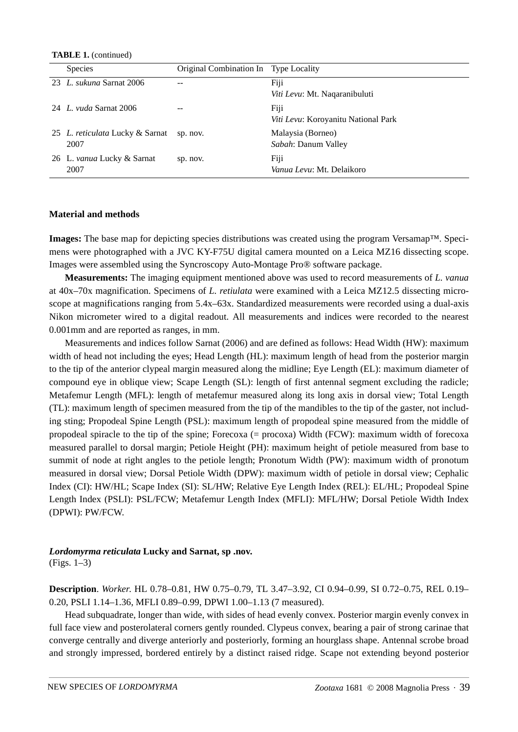**TABLE 1.** (continued)

| <b>Species</b>                            | Original Combination In Type Locality |                                             |
|-------------------------------------------|---------------------------------------|---------------------------------------------|
| 23 L. sukuna Sarnat 2006                  | $- -$                                 | Fiji<br>Viti Levu: Mt. Naqaranibuluti       |
| 24 L. vuda Sarnat 2006                    | $- -$                                 | Fiji<br>Viti Levu: Koroyanitu National Park |
| 25 L. reticulata Lucky & Sarnat<br>2007   | sp. nov.                              | Malaysia (Borneo)<br>Sabah: Danum Valley    |
| 26 L. <i>vanua</i> Lucky & Sarnat<br>2007 | sp. nov.                              | Fiji<br><i>Vanua Levu: Mt. Delaikoro</i>    |

#### **Material and methods**

**Images:** The base map for depicting species distributions was created using the program Versamap™. Specimens were photographed with a JVC KY-F75U digital camera mounted on a Leica MZ16 dissecting scope. Images were assembled using the Syncroscopy Auto-Montage Pro® software package.

**Measurements:** The imaging equipment mentioned above was used to record measurements of *L. vanua* at 40x–70x magnification. Specimens of *L. retiulata* were examined with a Leica MZ12.5 dissecting microscope at magnifications ranging from 5.4x–63x. Standardized measurements were recorded using a dual-axis Nikon micrometer wired to a digital readout. All measurements and indices were recorded to the nearest 0.001mm and are reported as ranges, in mm.

Measurements and indices follow Sarnat (2006) and are defined as follows: Head Width (HW): maximum width of head not including the eyes; Head Length (HL): maximum length of head from the posterior margin to the tip of the anterior clypeal margin measured along the midline; Eye Length (EL): maximum diameter of compound eye in oblique view; Scape Length (SL): length of first antennal segment excluding the radicle; Metafemur Length (MFL): length of metafemur measured along its long axis in dorsal view; Total Length (TL): maximum length of specimen measured from the tip of the mandibles to the tip of the gaster, not including sting; Propodeal Spine Length (PSL): maximum length of propodeal spine measured from the middle of propodeal spiracle to the tip of the spine; Forecoxa (= procoxa) Width (FCW): maximum width of forecoxa measured parallel to dorsal margin; Petiole Height (PH): maximum height of petiole measured from base to summit of node at right angles to the petiole length; Pronotum Width (PW): maximum width of pronotum measured in dorsal view; Dorsal Petiole Width (DPW): maximum width of petiole in dorsal view; Cephalic Index (CI): HW/HL; Scape Index (SI): SL/HW; Relative Eye Length Index (REL): EL/HL; Propodeal Spine Length Index (PSLI): PSL/FCW; Metafemur Length Index (MFLI): MFL/HW; Dorsal Petiole Width Index (DPWI): PW/FCW.

### *Lordomyrma reticulata* **Lucky and Sarnat, sp .nov.**

(Figs. 1–3)

**Description**. *Worker*. HL 0.78–0.81, HW 0.75–0.79, TL 3.47–3.92, CI 0.94–0.99, SI 0.72–0.75, REL 0.19– 0.20, PSLI 1.14–1.36, MFLI 0.89–0.99, DPWI 1.00–1.13 (7 measured).

Head subquadrate, longer than wide, with sides of head evenly convex. Posterior margin evenly convex in full face view and posterolateral corners gently rounded. Clypeus convex, bearing a pair of strong carinae that converge centrally and diverge anteriorly and posteriorly, forming an hourglass shape. Antennal scrobe broad and strongly impressed, bordered entirely by a distinct raised ridge. Scape not extending beyond posterior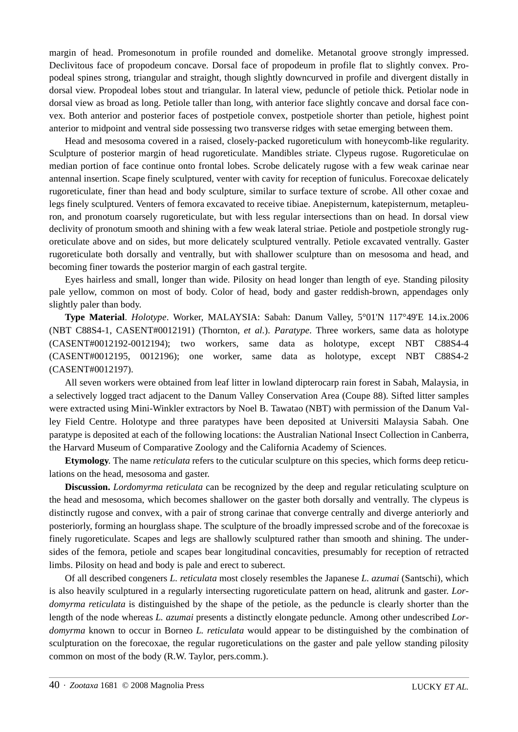margin of head. Promesonotum in profile rounded and domelike. Metanotal groove strongly impressed. Declivitous face of propodeum concave. Dorsal face of propodeum in profile flat to slightly convex. Propodeal spines strong, triangular and straight, though slightly downcurved in profile and divergent distally in dorsal view. Propodeal lobes stout and triangular. In lateral view, peduncle of petiole thick. Petiolar node in dorsal view as broad as long. Petiole taller than long, with anterior face slightly concave and dorsal face convex. Both anterior and posterior faces of postpetiole convex, postpetiole shorter than petiole, highest point anterior to midpoint and ventral side possessing two transverse ridges with setae emerging between them.

Head and mesosoma covered in a raised, closely-packed rugoreticulum with honeycomb-like regularity. Sculpture of posterior margin of head rugoreticulate. Mandibles striate. Clypeus rugose. Rugoreticulae on median portion of face continue onto frontal lobes. Scrobe delicately rugose with a few weak carinae near antennal insertion. Scape finely sculptured, venter with cavity for reception of funiculus. Forecoxae delicately rugoreticulate, finer than head and body sculpture, similar to surface texture of scrobe. All other coxae and legs finely sculptured. Venters of femora excavated to receive tibiae. Anepisternum, katepisternum, metapleuron, and pronotum coarsely rugoreticulate, but with less regular intersections than on head. In dorsal view declivity of pronotum smooth and shining with a few weak lateral striae. Petiole and postpetiole strongly rugoreticulate above and on sides, but more delicately sculptured ventrally. Petiole excavated ventrally. Gaster rugoreticulate both dorsally and ventrally, but with shallower sculpture than on mesosoma and head, and becoming finer towards the posterior margin of each gastral tergite.

Eyes hairless and small, longer than wide. Pilosity on head longer than length of eye. Standing pilosity pale yellow, common on most of body. Color of head, body and gaster reddish-brown, appendages only slightly paler than body.

**Type Material**. *Holotype*. Worker, MALAYSIA: Sabah: Danum Valley, 5°01'N 117°49'E 14.ix.2006 (NBT C88S4-1, CASENT#0012191) (Thornton, *et al.*). *Paratype*. Three workers, same data as holotype (CASENT#0012192-0012194); two workers, same data as holotype, except NBT C88S4-4 (CASENT#0012195, 0012196); one worker, same data as holotype, except NBT C88S4-2 (CASENT#0012197).

All seven workers were obtained from leaf litter in lowland dipterocarp rain forest in Sabah, Malaysia, in a selectively logged tract adjacent to the Danum Valley Conservation Area (Coupe 88). Sifted litter samples were extracted using Mini-Winkler extractors by Noel B. Tawatao (NBT) with permission of the Danum Valley Field Centre. Holotype and three paratypes have been deposited at Universiti Malaysia Sabah. One paratype is deposited at each of the following locations: the Australian National Insect Collection in Canberra, the Harvard Museum of Comparative Zoology and the California Academy of Sciences.

**Etymology**. The name *reticulata* refers to the cuticular sculpture on this species, which forms deep reticulations on the head, mesosoma and gaster.

**Discussion.** *Lordomyrma reticulata* can be recognized by the deep and regular reticulating sculpture on the head and mesosoma, which becomes shallower on the gaster both dorsally and ventrally. The clypeus is distinctly rugose and convex, with a pair of strong carinae that converge centrally and diverge anteriorly and posteriorly, forming an hourglass shape. The sculpture of the broadly impressed scrobe and of the forecoxae is finely rugoreticulate. Scapes and legs are shallowly sculptured rather than smooth and shining. The undersides of the femora, petiole and scapes bear longitudinal concavities, presumably for reception of retracted limbs. Pilosity on head and body is pale and erect to suberect.

Of all described congeners *L. reticulata* most closely resembles the Japanese *L. azumai* (Santschi)*,* which is also heavily sculptured in a regularly intersecting rugoreticulate pattern on head, alitrunk and gaster. *Lordomyrma reticulata* is distinguished by the shape of the petiole, as the peduncle is clearly shorter than the length of the node whereas *L. azumai* presents a distinctly elongate peduncle. Among other undescribed *Lordomyrma* known to occur in Borneo *L. reticulata* would appear to be distinguished by the combination of sculpturation on the forecoxae, the regular rugoreticulations on the gaster and pale yellow standing pilosity common on most of the body (R.W. Taylor, pers.comm.).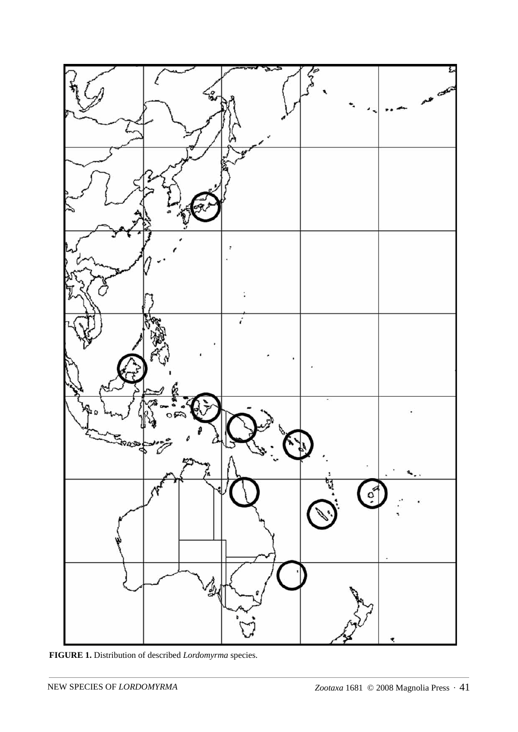

**FIGURE 1.** Distribution of described *Lordomyrma* species.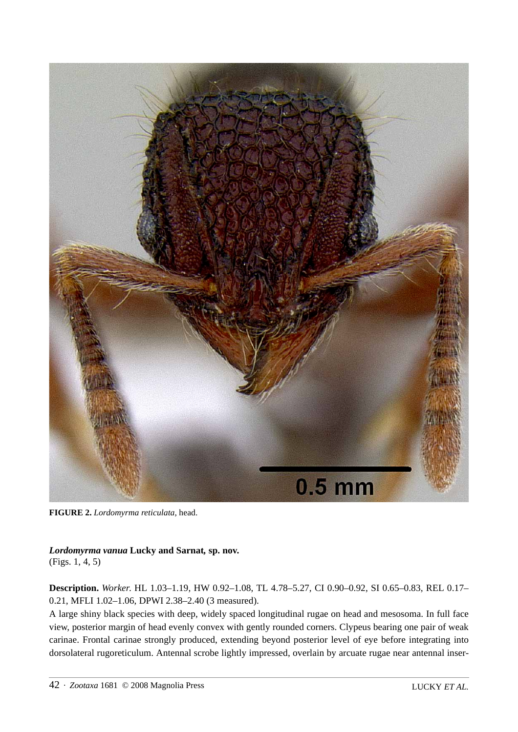

**FIGURE 2.** *Lordomyrma reticulata*, head.

*Lordomyrma vanua* **Lucky and Sarnat***,* **sp. nov.** (Figs. 1, 4, 5)

**Description.** *Worker*. HL 1.03–1.19, HW 0.92–1.08, TL 4.78–5.27, CI 0.90–0.92, SI 0.65–0.83, REL 0.17– 0.21, MFLI 1.02–1.06, DPWI 2.38–2.40 (3 measured).

A large shiny black species with deep, widely spaced longitudinal rugae on head and mesosoma. In full face view, posterior margin of head evenly convex with gently rounded corners. Clypeus bearing one pair of weak carinae. Frontal carinae strongly produced, extending beyond posterior level of eye before integrating into dorsolateral rugoreticulum. Antennal scrobe lightly impressed, overlain by arcuate rugae near antennal inser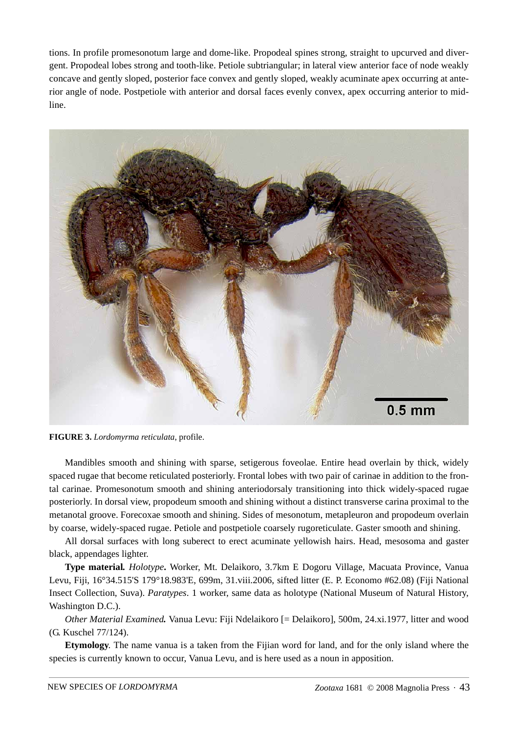tions. In profile promesonotum large and dome-like. Propodeal spines strong, straight to upcurved and divergent. Propodeal lobes strong and tooth-like. Petiole subtriangular; in lateral view anterior face of node weakly concave and gently sloped, posterior face convex and gently sloped, weakly acuminate apex occurring at anterior angle of node. Postpetiole with anterior and dorsal faces evenly convex, apex occurring anterior to midline.





Mandibles smooth and shining with sparse, setigerous foveolae. Entire head overlain by thick, widely spaced rugae that become reticulated posteriorly. Frontal lobes with two pair of carinae in addition to the frontal carinae. Promesonotum smooth and shining anteriodorsaly transitioning into thick widely-spaced rugae posteriorly. In dorsal view, propodeum smooth and shining without a distinct transverse carina proximal to the metanotal groove. Forecoxae smooth and shining. Sides of mesonotum, metapleuron and propodeum overlain by coarse, widely-spaced rugae. Petiole and postpetiole coarsely rugoreticulate. Gaster smooth and shining.

All dorsal surfaces with long suberect to erect acuminate yellowish hairs. Head, mesosoma and gaster black, appendages lighter.

**Type material***. Holotype***.** Worker, Mt. Delaikoro, 3.7km E Dogoru Village, Macuata Province, Vanua Levu, Fiji, 16°34.515'S 179°18.983'E, 699m, 31.viii.2006, sifted litter (E. P. Economo #62.08) (Fiji National Insect Collection, Suva). *Paratypes*. 1 worker, same data as holotype (National Museum of Natural History, Washington D.C.).

*Other Material Examined.* Vanua Levu: Fiji Ndelaikoro [= Delaikoro], 500m, 24.xi.1977, litter and wood (G. Kuschel 77/124).

**Etymology**. The name vanua is a taken from the Fijian word for land, and for the only island where the species is currently known to occur, Vanua Levu, and is here used as a noun in apposition.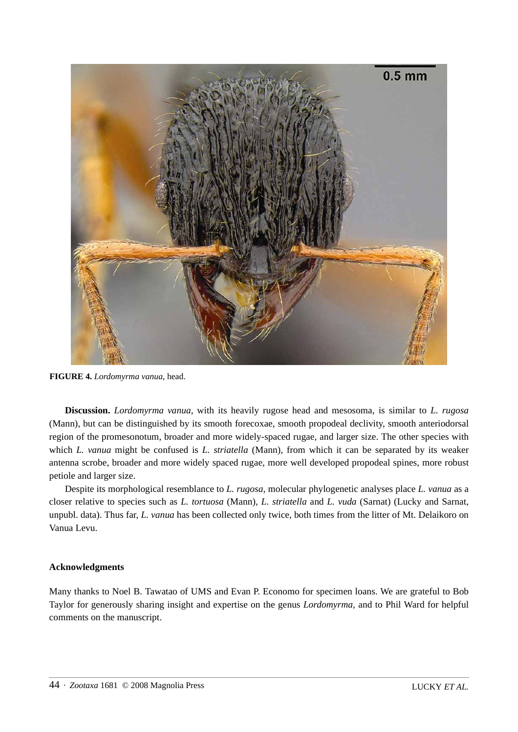

**FIGURE 4.** *Lordomyrma vanua*, head.

**Discussion.** *Lordomyrma vanua*, with its heavily rugose head and mesosoma, is similar to *L. rugosa* (Mann), but can be distinguished by its smooth forecoxae, smooth propodeal declivity, smooth anteriodorsal region of the promesonotum, broader and more widely-spaced rugae, and larger size. The other species with which *L. vanua* might be confused is *L. striatella* (Mann), from which it can be separated by its weaker antenna scrobe, broader and more widely spaced rugae, more well developed propodeal spines, more robust petiole and larger size.

Despite its morphological resemblance to *L. rugosa*, molecular phylogenetic analyses place *L. vanua* as a closer relative to species such as *L. tortuosa* (Mann)*, L. striatella* and *L. vuda* (Sarnat) (Lucky and Sarnat, unpubl. data). Thus far, *L. vanua* has been collected only twice, both times from the litter of Mt. Delaikoro on Vanua Levu.

# **Acknowledgments**

Many thanks to Noel B. Tawatao of UMS and Evan P. Economo for specimen loans. We are grateful to Bob Taylor for generously sharing insight and expertise on the genus *Lordomyrma,* and to Phil Ward for helpful comments on the manuscript.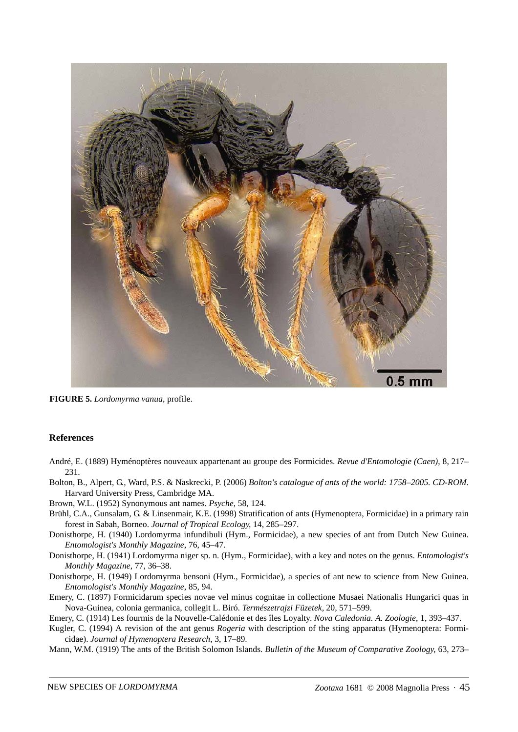

**FIGURE 5.** *Lordomyrma vanua*, profile.

#### **References**

- André, E. (1889) Hyménoptères nouveaux appartenant au groupe des Formicides. *Revue d'Entomologie (Caen)*, 8, 217– 231.
- Bolton, B., Alpert, G., Ward, P.S. & Naskrecki, P. (2006) *Bolton's catalogue of ants of the world: 1758*–*2005. CD-ROM*. Harvard University Press, Cambridge MA.
- Brown, W.L. (1952) Synonymous ant names. *Psyche*, 58, 124.
- Brühl, C.A., Gunsalam, G. & Linsenmair, K.E. (1998) Stratification of ants (Hymenoptera, Formicidae) in a primary rain forest in Sabah, Borneo. *Journal of Tropical Ecology*, 14, 285–297.
- Donisthorpe, H. (1940) Lordomyrma infundibuli (Hym., Formicidae), a new species of ant from Dutch New Guinea. *Entomologist's Monthly Magazine*, 76, 45–47.
- Donisthorpe, H. (1941) Lordomyrma niger sp. n. (Hym., Formicidae), with a key and notes on the genus. *Entomologist's Monthly Magazine*, 77, 36–38.
- Donisthorpe, H. (1949) Lordomyrma bensoni (Hym., Formicidae), a species of ant new to science from New Guinea. *Entomologist's Monthly Magazine*, 85, 94.
- Emery, C. (1897) Formicidarum species novae vel minus cognitae in collectione Musaei Nationalis Hungarici quas in Nova-Guinea, colonia germanica, collegit L. Biró. *Természetrajzi Füzetek,* 20, 571–599.
- Emery, C. (1914) Les fourmis de la Nouvelle-Calédonie et des îles Loyalty. *Nova Caledonia. A. Zoologie*, 1, 393–437.
- Kugler, C. (1994) A revision of the ant genus *Rogeria* with description of the sting apparatus (Hymenoptera: Formicidae). *Journal of Hymenoptera Research*, 3, 17–89.
- Mann, W.M. (1919) The ants of the British Solomon Islands. *Bulletin of the Museum of Comparative Zoology*, 63, 273–